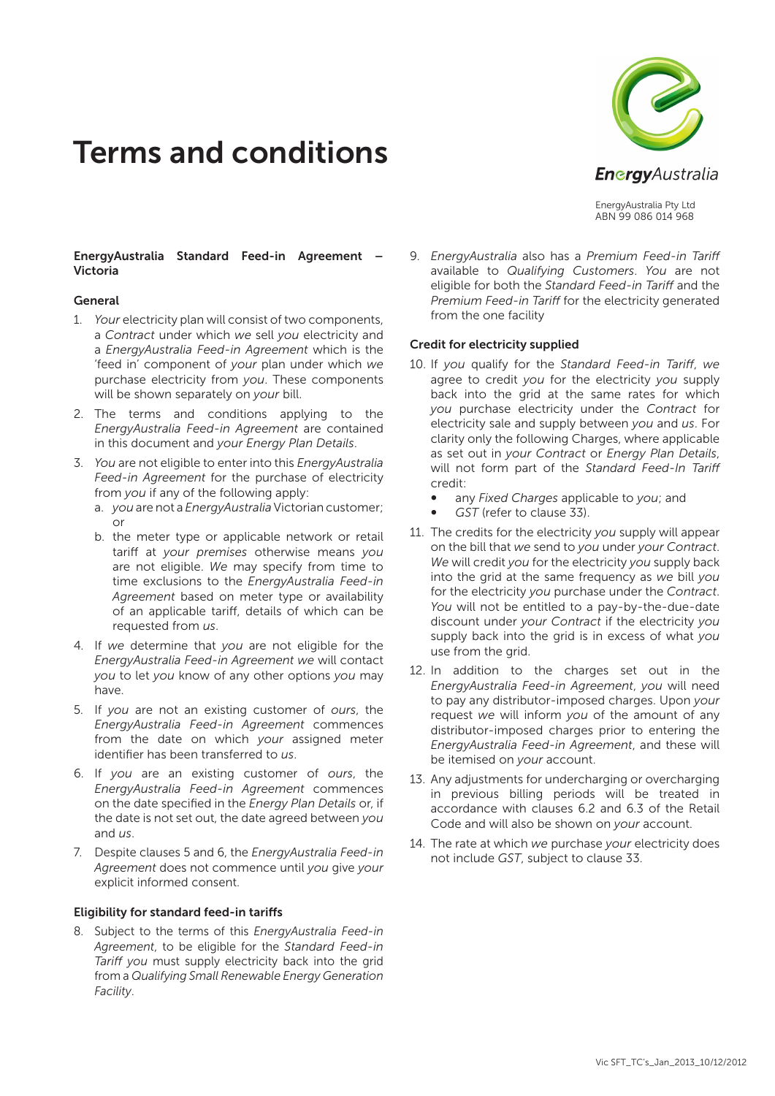# Terms and conditions



EnergyAustralia Pty Ltd ABN 99 086 014 968

## EnergyAustralia Standard Feed-in Agreement – Victoria

#### General

- 1. *Your* electricity plan will consist of two components, a *Contract* under which *we* sell *you* electricity and a *EnergyAustralia Feed-in Agreement* which is the 'feed in' component of *your* plan under which *we* purchase electricity from *you*. These components will be shown separately on *your* bill.
- 2. The terms and conditions applying to the *EnergyAustralia Feed-in Agreement* are contained in this document and *your Energy Plan Details*.
- 3. *You* are not eligible to enter into this *EnergyAustralia Feed-in Agreement* for the purchase of electricity from *you* if any of the following apply:
	- a. *you* are not a *EnergyAustralia* Victorian customer; or
	- b. the meter type or applicable network or retail tariff at *your premises* otherwise means *you* are not eligible. *We* may specify from time to time exclusions to the *EnergyAustralia Feed-in Agreement* based on meter type or availability of an applicable tariff, details of which can be requested from *us*.
- 4. If *we* determine that *you* are not eligible for the *EnergyAustralia Feed-in Agreement we* will contact *you* to let *you* know of any other options *you* may have.
- 5. If *you* are not an existing customer of *ours*, the *EnergyAustralia Feed-in Agreement* commences from the date on which *your* assigned meter identifier has been transferred to *us*.
- 6. If *you* are an existing customer of *ours*, the *EnergyAustralia Feed-in Agreement* commences on the date specified in the *Energy Plan Details* or, if the date is not set out, the date agreed between *you* and *us*.
- 7. Despite clauses 5 and 6, the *EnergyAustralia Feed-in Agreement* does not commence until *you* give *your* explicit informed consent.

#### Eligibility for standard feed-in tariffs

8. Subject to the terms of this *EnergyAustralia Feed-in Agreement*, to be eligible for the *Standard Feed-in Tariff you* must supply electricity back into the grid from a *Qualifying Small Renewable Energy Generation Facility*.

9. *EnergyAustralia* also has a *Premium Feed-in Tariff* available to *Qualifying Customers*. *You* are not eligible for both the *Standard Feed-in Tariff* and the *Premium Feed-in Tariff* for the electricity generated from the one facility

#### Credit for electricity supplied

- 10. If *you* qualify for the *Standard Feed-in Tariff*, *we* agree to credit *you* for the electricity *you* supply back into the grid at the same rates for which *you* purchase electricity under the *Contract* for electricity sale and supply between *you* and *us*. For clarity only the following Charges, where applicable as set out in *your Contract* or *Energy Plan Details*, will not form part of the *Standard Feed-In Tariff* credit:
	- ∞ any *Fixed Charges* applicable to *you*; and
	- GST (refer to clause 33).
- 11. The credits for the electricity *you* supply will appear on the bill that *we* send to *you* under *your Contract*. *We* will credit *you* for the electricity *you* supply back into the grid at the same frequency as *we* bill *you* for the electricity *you* purchase under the *Contract*. *You* will not be entitled to a pay-by-the-due-date discount under *your Contract* if the electricity *you* supply back into the grid is in excess of what *you* use from the grid.
- 12. In addition to the charges set out in the *EnergyAustralia Feed-in Agreement*, *you* will need to pay any distributor-imposed charges. Upon *your* request *we* will inform *you* of the amount of any distributor-imposed charges prior to entering the *EnergyAustralia Feed-in Agreement*, and these will be itemised on *your* account.
- 13. Any adjustments for undercharging or overcharging in previous billing periods will be treated in accordance with clauses 6.2 and 6.3 of the Retail Code and will also be shown on *your* account.
- 14. The rate at which *we* purchase *your* electricity does not include *GST*, subject to clause 33.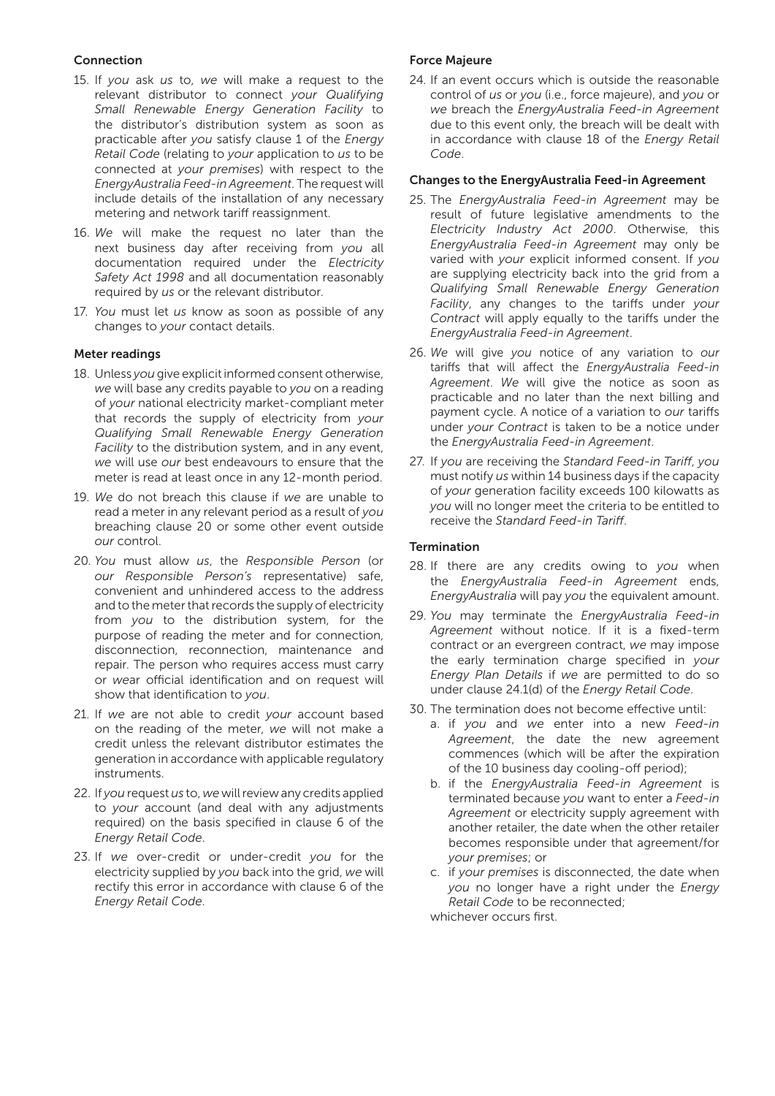## Connection

- 15. If *you* ask *us* to, *we* will make a request to the relevant distributor to connect *your Qualifying Small Renewable Energy Generation Facility* to the distributor's distribution system as soon as practicable after *you* satisfy clause 1 of the *Energy Retail Code* (relating to *your* application to *us* to be connected at *your premises*) with respect to the *EnergyAustralia Feed-in Agreement*. The request will include details of the installation of any necessary metering and network tariff reassignment.
- 16. *We* will make the request no later than the next business day after receiving from *you* all documentation required under the *Electricity Safety Act 1998* and all documentation reasonably required by *us* or the relevant distributor.
- 17. *You* must let *us* know as soon as possible of any changes to *your* contact details.

## Meter readings

- 18. Unless *you* give explicit informed consent otherwise, *we* will base any credits payable to *you* on a reading of *your* national electricity market-compliant meter that records the supply of electricity from *your Qualifying Small Renewable Energy Generation Facility* to the distribution system, and in any event, *we* will use *our* best endeavours to ensure that the meter is read at least once in any 12-month period.
- 19. *We* do not breach this clause if *we* are unable to read a meter in any relevant period as a result of *you* breaching clause 20 or some other event outside *our* control.
- 20. *You* must allow *us*, the *Responsible Person* (or *our Responsible Person's* representative) safe, convenient and unhindered access to the address and to the meter that records the supply of electricity from *you* to the distribution system, for the purpose of reading the meter and for connection, disconnection, reconnection, maintenance and repair. The person who requires access must carry or *we*ar official identification and on request will show that identification to *you*.
- 21. If *we* are not able to credit *your* account based on the reading of the meter, *we* will not make a credit unless the relevant distributor estimates the generation in accordance with applicable regulatory instruments.
- 22. If *you* request *us* to, *we* will review any credits applied to *your* account (and deal with any adjustments required) on the basis specified in clause 6 of the *Energy Retail Code*.
- 23. If *we* over-credit or under-credit *you* for the electricity supplied by *you* back into the grid, *we* will rectify this error in accordance with clause 6 of the *Energy Retail Code*.

## Force Majeure

24. If an event occurs which is outside the reasonable control of *us* or *you* (i.e., force majeure), and *you* or *we* breach the *EnergyAustralia Feed-in Agreement* due to this event only, the breach will be dealt with in accordance with clause 18 of the *Energy Retail Code*.

#### Changes to the EnergyAustralia Feed-in Agreement

- 25. The *EnergyAustralia Feed-in Agreement* may be result of future legislative amendments to the *Electricity Industry Act 2000*. Otherwise, this *EnergyAustralia Feed-in Agreement* may only be varied with *your* explicit informed consent. If *you* are supplying electricity back into the grid from a *Qualifying Small Renewable Energy Generation Facility*, any changes to the tariffs under *your Contract* will apply equally to the tariffs under the *EnergyAustralia Feed-in Agreement*.
- 26. *We* will give *you* notice of any variation to *our* tariffs that will affect the *EnergyAustralia Feed-in Agreement*. *We* will give the notice as soon as practicable and no later than the next billing and payment cycle. A notice of a variation to *our* tariffs under *your Contract* is taken to be a notice under the *EnergyAustralia Feed-in Agreement*.
- 27. If *you* are receiving the *Standard Feed-in Tariff*, *you* must notify *us* within 14 business days if the capacity of *your* generation facility exceeds 100 kilowatts as *you* will no longer meet the criteria to be entitled to receive the *Standard Feed-in Tariff*.

## **Termination**

- 28. If there are any credits owing to *you* when the *EnergyAustralia Feed-in Agreement* ends, *EnergyAustralia* will pay *you* the equivalent amount.
- 29. *You* may terminate the *EnergyAustralia Feed-in Agreement* without notice. If it is a fixed-term contract or an evergreen contract, *we* may impose the early termination charge specified in *your Energy Plan Details* if *we* are permitted to do so under clause 24.1(d) of the *Energy Retail Code*.
- 30. The termination does not become effective until:
	- a. if *you* and *we* enter into a new *Feed-in Agreement*, the date the new agreement commences (which will be after the expiration of the 10 business day cooling-off period);
	- b. if the *EnergyAustralia Feed-in Agreement* is terminated because *you* want to enter a *Feed-in Agreement* or electricity supply agreement with another retailer, the date when the other retailer becomes responsible under that agreement/for *your premises*; or
	- c. if *your premises* is disconnected, the date when *you* no longer have a right under the *Energy Retail Code* to be reconnected;

whichever occurs first.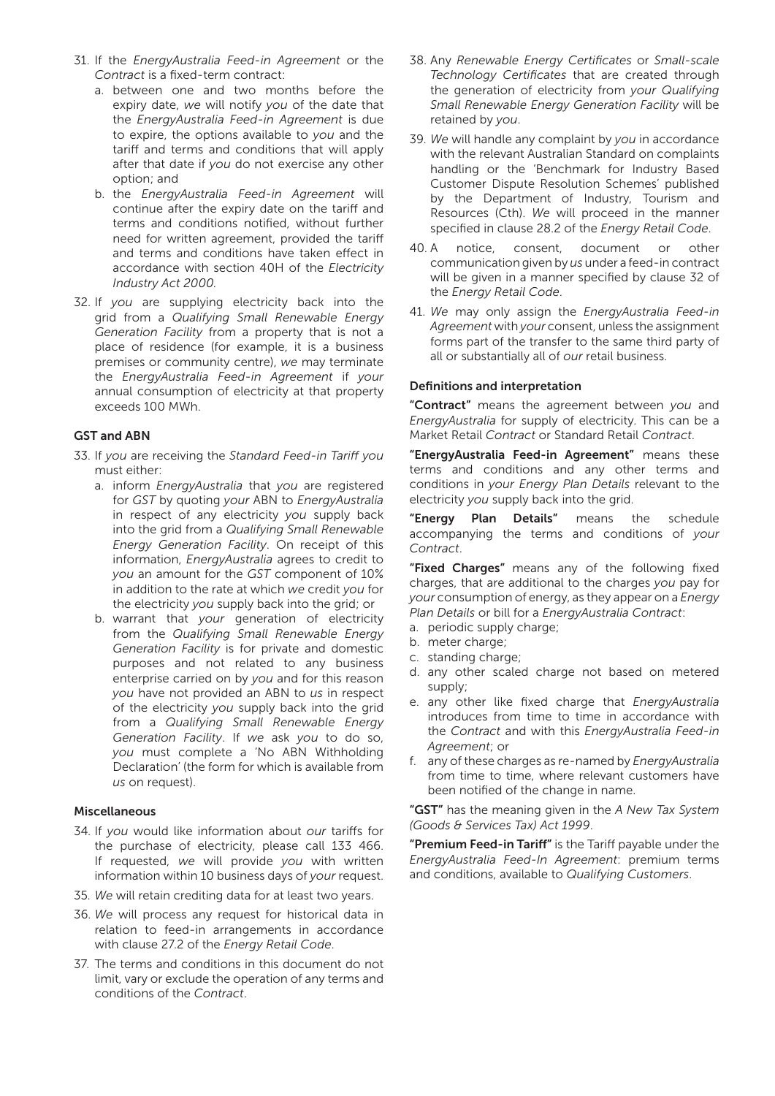- 31. If the *EnergyAustralia Feed-in Agreement* or the *Contract* is a fixed-term contract:
	- a. between one and two months before the expiry date, *we* will notify *you* of the date that the *EnergyAustralia Feed-in Agreement* is due to expire, the options available to *you* and the tariff and terms and conditions that will apply after that date if *you* do not exercise any other option; and
	- b. the *EnergyAustralia Feed-in Agreement* will continue after the expiry date on the tariff and terms and conditions notified, without further need for written agreement, provided the tariff and terms and conditions have taken effect in accordance with section 40H of the *Electricity Industry Act 2000.*
- 32. If *you* are supplying electricity back into the grid from a *Qualifying Small Renewable Energy Generation Facility* from a property that is not a place of residence (for example, it is a business premises or community centre), *we* may terminate the *EnergyAustralia Feed-in Agreement* if *your* annual consumption of electricity at that property exceeds 100 MWh.

## GST and ABN

- 33. If *you* are receiving the *Standard Feed-in Tariff you* must either:
	- a. inform *EnergyAustralia* that *you* are registered for *GST* by quoting *your* ABN to *EnergyAustralia* in respect of any electricity *you* supply back into the grid from a *Qualifying Small Renewable Energy Generation Facility*. On receipt of this information, *EnergyAustralia* agrees to credit to *you* an amount for the *GST* component of 10% in addition to the rate at which *we* credit *you* for the electricity *you* supply back into the grid; or
	- b. warrant that *your* generation of electricity from the *Qualifying Small Renewable Energy Generation Facility* is for private and domestic purposes and not related to any business enterprise carried on by *you* and for this reason *you* have not provided an ABN to *us* in respect of the electricity *you* supply back into the grid from a *Qualifying Small Renewable Energy Generation Facility*. If *we* ask *you* to do so, *you* must complete a 'No ABN Withholding Declaration' (the form for which is available from *us* on request).

#### Miscellaneous

- 34. If *you* would like information about *our* tariffs for the purchase of electricity, please call 133 466. If requested, *we* will provide *you* with written information within 10 business days of *your* request.
- 35. *We* will retain crediting data for at least two years.
- 36. *We* will process any request for historical data in relation to feed-in arrangements in accordance with clause 27.2 of the *Energy Retail Code*.
- 37. The terms and conditions in this document do not limit, vary or exclude the operation of any terms and conditions of the *Contract*.
- 38. Any *Renewable Energy Certificates* or *Small-scale Technology Certificates* that are created through the generation of electricity from *your Qualifying Small Renewable Energy Generation Facility* will be retained by *you*.
- 39. *We* will handle any complaint by *you* in accordance with the relevant Australian Standard on complaints handling or the 'Benchmark for Industry Based Customer Dispute Resolution Schemes' published by the Department of Industry, Tourism and Resources (Cth). *We* will proceed in the manner specified in clause 28.2 of the *Energy Retail Code*.
- 40. A notice, consent, document or other communication given by *us* under a feed-in contract will be given in a manner specified by clause 32 of the *Energy Retail Code*.
- 41. *We* may only assign the *EnergyAustralia Feed-in Agreement* with *your* consent, unless the assignment forms part of the transfer to the same third party of all or substantially all of *our* retail business.

## Definitions and interpretation

"Contract" means the agreement between *you* and *EnergyAustralia* for supply of electricity. This can be a Market Retail *Contract* or Standard Retail *Contract*.

"EnergyAustralia Feed-in Agreement" means these terms and conditions and any other terms and conditions in *your Energy Plan Details* relevant to the electricity *you* supply back into the grid.

"Energy Plan Details" means the schedule accompanying the terms and conditions of *your Contract*.

"Fixed Charges" means any of the following fixed charges, that are additional to the charges *you* pay for *your* consumption of energy, as they appear on a *Energy Plan Details* or bill for a *EnergyAustralia Contract*:

- a. periodic supply charge;
- b. meter charge;
- c. standing charge;
- d. any other scaled charge not based on metered supply;
- e. any other like fixed charge that *EnergyAustralia* introduces from time to time in accordance with the *Contract* and with this *EnergyAustralia Feed-in Agreement*; or
- f. any of these charges as re-named by *EnergyAustralia* from time to time, where relevant customers have been notified of the change in name.

"GST" has the meaning given in the *A New Tax System (Goods & Services Tax) Act 1999*.

"Premium Feed-in Tariff" is the Tariff payable under the *EnergyAustralia Feed-In Agreement*: premium terms and conditions, available to *Qualifying Customers*.